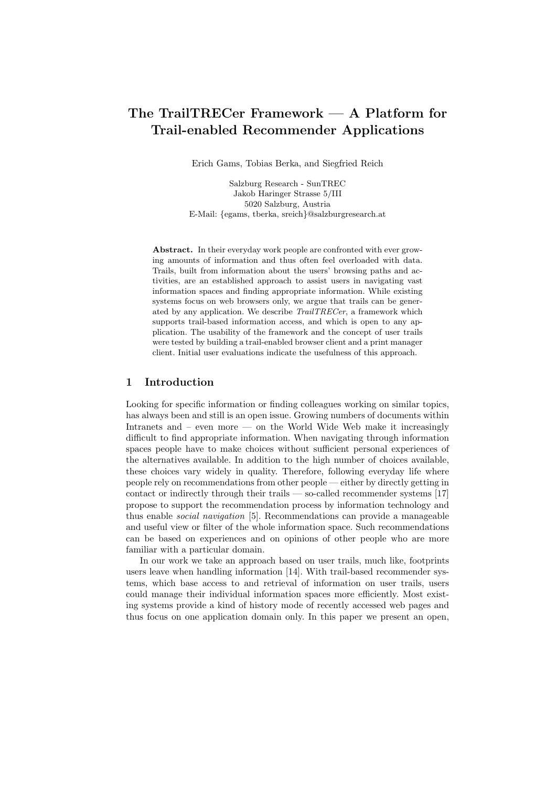# **The TrailTRECer Framework — A Platform for Trail-enabled Recommender Applications**

Erich Gams, Tobias Berka, and Siegfried Reich

Salzburg Research - SunTREC Jakob Haringer Strasse 5/III 5020 Salzburg, Austria E-Mail: *{*egams, tberka, sreich*}*@salzburgresearch.at

**Abstract.** In their everyday work people are confronted with ever growing amounts of information and thus often feel overloaded with data. Trails, built from information about the users' browsing paths and activities, are an established approach to assist users in navigating vast information spaces and finding appropriate information. While existing systems focus on web browsers only, we argue that trails can be generated by any application. We describe *TrailTRECer*, a framework which supports trail-based information access, and which is open to any application. The usability of the framework and the concept of user trails were tested by building a trail-enabled browser client and a print manager client. Initial user evaluations indicate the usefulness of this approach.

## **1 Introduction**

Looking for specific information or finding colleagues working on similar topics, has always been and still is an open issue. Growing numbers of documents within Intranets and  $-$  even more  $-$  on the World Wide Web make it increasingly difficult to find appropriate information. When navigating through information spaces people have to make choices without sufficient personal experiences of the alternatives available. In addition to the high number of choices available, these choices vary widely in quality. Therefore, following everyday life where people rely on recommendations from other people — either by directly getting in contact or indirectly through their trails — so-called recommender systems [17] propose to support the recommendation process by information technology and thus enable *social navigation* [5]. Recommendations can provide a manageable and useful view or filter of the whole information space. Such recommendations can be based on experiences and on opinions of other people who are more familiar with a particular domain.

In our work we take an approach based on user trails, much like, footprints users leave when handling information [14]. With trail-based recommender systems, which base access to and retrieval of information on user trails, users could manage their individual information spaces more efficiently. Most existing systems provide a kind of history mode of recently accessed web pages and thus focus on one application domain only. In this paper we present an open,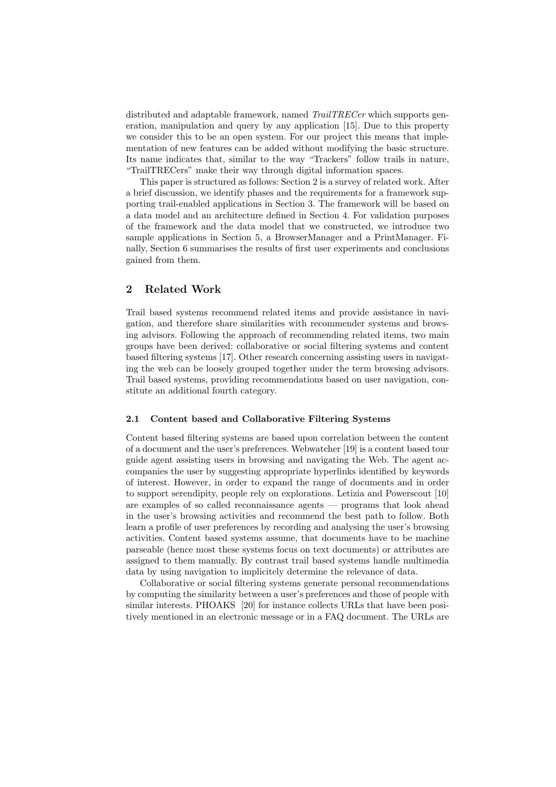distributed and adaptable framework, named *TrailTRECer* which supports generation, manipulation and query by any application [15]. Due to this property we consider this to be an open system. For our project this means that implementation of new features can be added without modifying the basic structure. Its name indicates that, similar to the way "Trackers" follow trails in nature, "TrailTRECers" make their way through digital information spaces.

This paper is structured as follows: Section 2 is a survey of related work. After a brief discussion, we identify phases and the requirements for a framework supporting trail-enabled applications in Section 3. The framework will be based on a data model and an architecture defined in Section 4. For validation purposes of the framework and the data model that we constructed, we introduce two sample applications in Section 5, a BrowserManager and a PrintManager. Finally, Section 6 summarises the results of first user experiments and conclusions gained from them.

## **2 Related Work**

Trail based systems recommend related items and provide assistance in navigation, and therefore share similarities with recommender systems and browsing advisors. Following the approach of recommending related items, two main groups have been derived: collaborative or social filtering systems and content based filtering systems [17]. Other research concerning assisting users in navigating the web can be loosely grouped together under the term browsing advisors. Trail based systems, providing recommendations based on user navigation, constitute an additional fourth category.

#### **2.1 Content based and Collaborative Filtering Systems**

Content based filtering systems are based upon correlation between the content of a document and the user's preferences. Webwatcher [19] is a content based tour guide agent assisting users in browsing and navigating the Web. The agent accompanies the user by suggesting appropriate hyperlinks identified by keywords of interest. However, in order to expand the range of documents and in order to support serendipity, people rely on explorations. Letizia and Powerscout [10] are examples of so called reconnaissance agents — programs that look ahead in the user's browsing activities and recommend the best path to follow. Both learn a profile of user preferences by recording and analysing the user's browsing activities. Content based systems assume, that documents have to be machine parseable (hence most these systems focus on text documents) or attributes are assigned to them manually. By contrast trail based systems handle multimedia data by using navigation to implicitely determine the relevance of data.

Collaborative or social filtering systems generate personal recommendations by computing the similarity between a user's preferences and those of people with similar interests. PHOAKS [20] for instance collects URLs that have been positively mentioned in an electronic message or in a FAQ document. The URLs are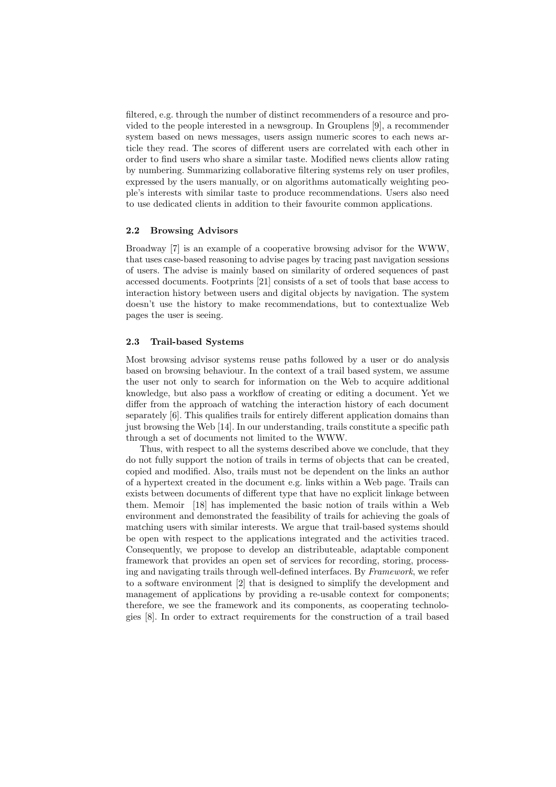filtered, e.g. through the number of distinct recommenders of a resource and provided to the people interested in a newsgroup. In Grouplens [9], a recommender system based on news messages, users assign numeric scores to each news article they read. The scores of different users are correlated with each other in order to find users who share a similar taste. Modified news clients allow rating by numbering. Summarizing collaborative filtering systems rely on user profiles, expressed by the users manually, or on algorithms automatically weighting people's interests with similar taste to produce recommendations. Users also need to use dedicated clients in addition to their favourite common applications.

#### **2.2 Browsing Advisors**

Broadway [7] is an example of a cooperative browsing advisor for the WWW, that uses case-based reasoning to advise pages by tracing past navigation sessions of users. The advise is mainly based on similarity of ordered sequences of past accessed documents. Footprints [21] consists of a set of tools that base access to interaction history between users and digital objects by navigation. The system doesn't use the history to make recommendations, but to contextualize Web pages the user is seeing.

#### **2.3 Trail-based Systems**

Most browsing advisor systems reuse paths followed by a user or do analysis based on browsing behaviour. In the context of a trail based system, we assume the user not only to search for information on the Web to acquire additional knowledge, but also pass a workflow of creating or editing a document. Yet we differ from the approach of watching the interaction history of each document separately [6]. This qualifies trails for entirely different application domains than just browsing the Web [14]. In our understanding, trails constitute a specific path through a set of documents not limited to the WWW.

Thus, with respect to all the systems described above we conclude, that they do not fully support the notion of trails in terms of objects that can be created, copied and modified. Also, trails must not be dependent on the links an author of a hypertext created in the document e.g. links within a Web page. Trails can exists between documents of different type that have no explicit linkage between them. Memoir [18] has implemented the basic notion of trails within a Web environment and demonstrated the feasibility of trails for achieving the goals of matching users with similar interests. We argue that trail-based systems should be open with respect to the applications integrated and the activities traced. Consequently, we propose to develop an distributeable, adaptable component framework that provides an open set of services for recording, storing, processing and navigating trails through well-defined interfaces. By *Framework*, we refer to a software environment [2] that is designed to simplify the development and management of applications by providing a re-usable context for components; therefore, we see the framework and its components, as cooperating technologies [8]. In order to extract requirements for the construction of a trail based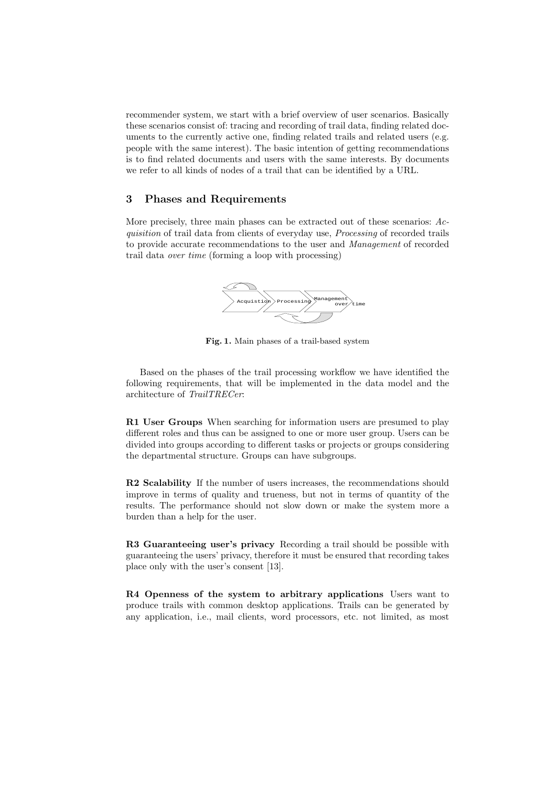recommender system, we start with a brief overview of user scenarios. Basically these scenarios consist of: tracing and recording of trail data, finding related documents to the currently active one, finding related trails and related users (e.g. people with the same interest). The basic intention of getting recommendations is to find related documents and users with the same interests. By documents we refer to all kinds of nodes of a trail that can be identified by a URL.

#### **3 Phases and Requirements**

More precisely, three main phases can be extracted out of these scenarios: *Acquisition* of trail data from clients of everyday use, *Processing* of recorded trails to provide accurate recommendations to the user and *Management* of recorded trail data *over time* (forming a loop with processing)



**Fig. 1.** Main phases of a trail-based system

Based on the phases of the trail processing workflow we have identified the following requirements, that will be implemented in the data model and the architecture of *TrailTRECer*:

**R1 User Groups** When searching for information users are presumed to play different roles and thus can be assigned to one or more user group. Users can be divided into groups according to different tasks or projects or groups considering the departmental structure. Groups can have subgroups.

**R2 Scalability** If the number of users increases, the recommendations should improve in terms of quality and trueness, but not in terms of quantity of the results. The performance should not slow down or make the system more a burden than a help for the user.

**R3 Guaranteeing user's privacy** Recording a trail should be possible with guaranteeing the users' privacy, therefore it must be ensured that recording takes place only with the user's consent [13].

**R4 Openness of the system to arbitrary applications** Users want to produce trails with common desktop applications. Trails can be generated by any application, i.e., mail clients, word processors, etc. not limited, as most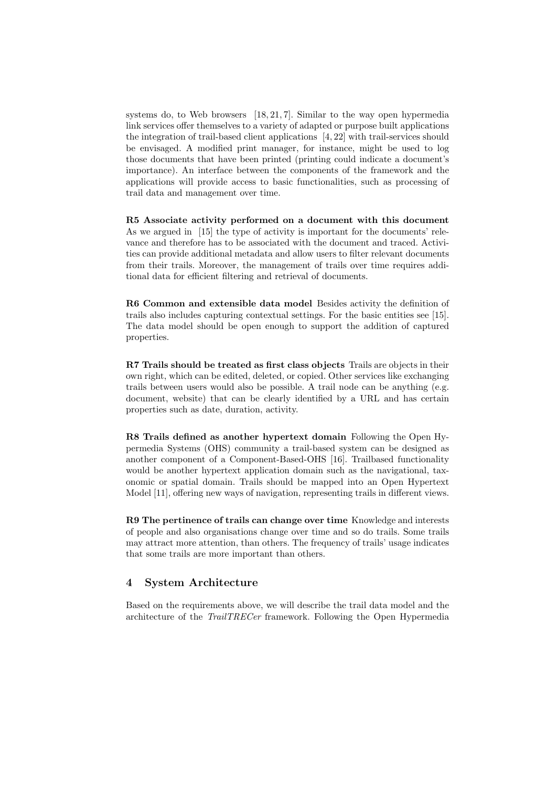systems do, to Web browsers  $[18, 21, 7]$ . Similar to the way open hypermedia link services offer themselves to a variety of adapted or purpose built applications the integration of trail-based client applications [4, 22] with trail-services should be envisaged. A modified print manager, for instance, might be used to log those documents that have been printed (printing could indicate a document's importance). An interface between the components of the framework and the applications will provide access to basic functionalities, such as processing of trail data and management over time.

**R5 Associate activity performed on a document with this document** As we argued in [15] the type of activity is important for the documents' relevance and therefore has to be associated with the document and traced. Activities can provide additional metadata and allow users to filter relevant documents from their trails. Moreover, the management of trails over time requires additional data for efficient filtering and retrieval of documents.

**R6 Common and extensible data model** Besides activity the definition of trails also includes capturing contextual settings. For the basic entities see [15]. The data model should be open enough to support the addition of captured properties.

**R7 Trails should be treated as first class objects** Trails are objects in their own right, which can be edited, deleted, or copied. Other services like exchanging trails between users would also be possible. A trail node can be anything (e.g. document, website) that can be clearly identified by a URL and has certain properties such as date, duration, activity.

**R8 Trails defined as another hypertext domain** Following the Open Hypermedia Systems (OHS) community a trail-based system can be designed as another component of a Component-Based-OHS [16]. Trailbased functionality would be another hypertext application domain such as the navigational, taxonomic or spatial domain. Trails should be mapped into an Open Hypertext Model [11], offering new ways of navigation, representing trails in different views.

**R9 The pertinence of trails can change over time** Knowledge and interests of people and also organisations change over time and so do trails. Some trails may attract more attention, than others. The frequency of trails' usage indicates that some trails are more important than others.

# **4 System Architecture**

Based on the requirements above, we will describe the trail data model and the architecture of the *TrailTRECer* framework. Following the Open Hypermedia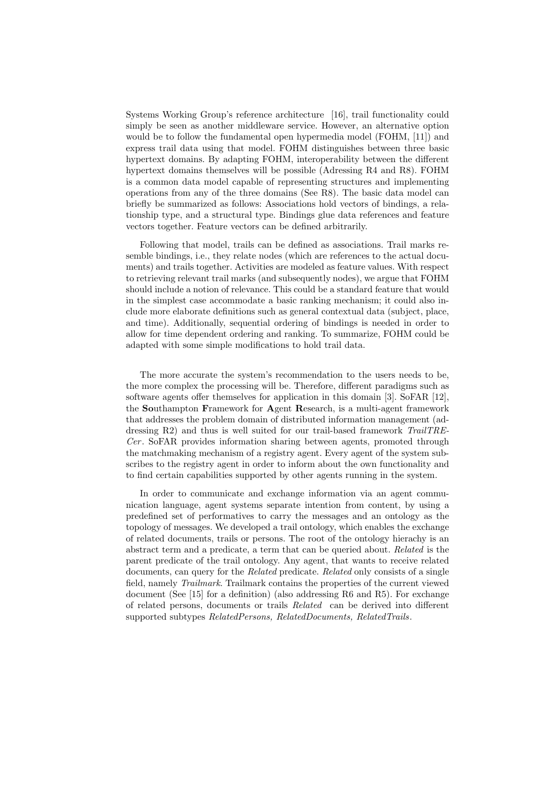Systems Working Group's reference architecture [16], trail functionality could simply be seen as another middleware service. However, an alternative option would be to follow the fundamental open hypermedia model (FOHM, [11]) and express trail data using that model. FOHM distinguishes between three basic hypertext domains. By adapting FOHM, interoperability between the different hypertext domains themselves will be possible (Adressing R4 and R8). FOHM is a common data model capable of representing structures and implementing operations from any of the three domains (See R8). The basic data model can briefly be summarized as follows: Associations hold vectors of bindings, a relationship type, and a structural type. Bindings glue data references and feature vectors together. Feature vectors can be defined arbitrarily.

Following that model, trails can be defined as associations. Trail marks resemble bindings, i.e., they relate nodes (which are references to the actual documents) and trails together. Activities are modeled as feature values. With respect to retrieving relevant trail marks (and subsequently nodes), we argue that FOHM should include a notion of relevance. This could be a standard feature that would in the simplest case accommodate a basic ranking mechanism; it could also include more elaborate definitions such as general contextual data (subject, place, and time). Additionally, sequential ordering of bindings is needed in order to allow for time dependent ordering and ranking. To summarize, FOHM could be adapted with some simple modifications to hold trail data.

The more accurate the system's recommendation to the users needs to be, the more complex the processing will be. Therefore, different paradigms such as software agents offer themselves for application in this domain [3]. SoFAR [12], the **So**uthampton **F**ramework for **A**gent **R**esearch, is a multi-agent framework that addresses the problem domain of distributed information management (addressing R2) and thus is well suited for our trail-based framework *TrailTRE-Cer* . SoFAR provides information sharing between agents, promoted through the matchmaking mechanism of a registry agent. Every agent of the system subscribes to the registry agent in order to inform about the own functionality and to find certain capabilities supported by other agents running in the system.

In order to communicate and exchange information via an agent communication language, agent systems separate intention from content, by using a predefined set of performatives to carry the messages and an ontology as the topology of messages. We developed a trail ontology, which enables the exchange of related documents, trails or persons. The root of the ontology hierachy is an abstract term and a predicate, a term that can be queried about. *Related* is the parent predicate of the trail ontology. Any agent, that wants to receive related documents, can query for the *Related* predicate. *Related* only consists of a single field, namely *Trailmark*. Trailmark contains the properties of the current viewed document (See [15] for a definition) (also addressing R6 and R5). For exchange of related persons, documents or trails *Related* can be derived into different supported subtypes *RelatedPersons, RelatedDocuments, RelatedTrails*.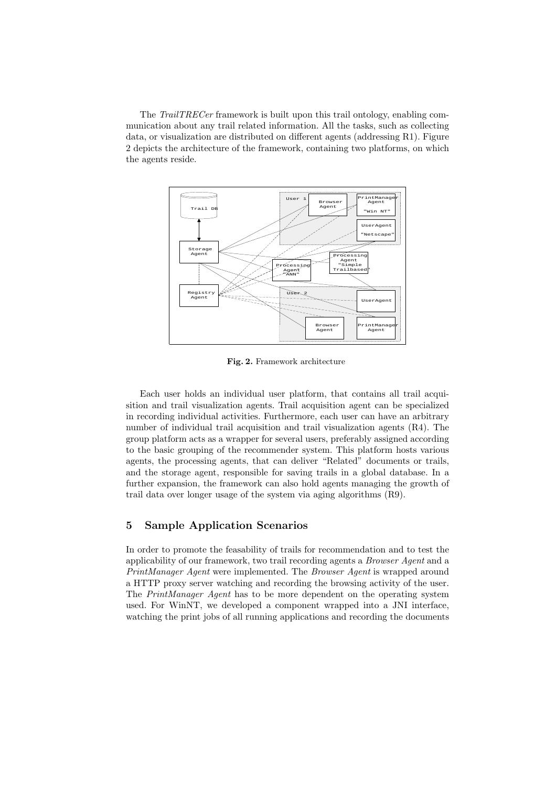The *TrailTRECer* framework is built upon this trail ontology, enabling communication about any trail related information. All the tasks, such as collecting data, or visualization are distributed on different agents (addressing R1). Figure 2 depicts the architecture of the framework, containing two platforms, on which the agents reside.



**Fig. 2.** Framework architecture

Each user holds an individual user platform, that contains all trail acquisition and trail visualization agents. Trail acquisition agent can be specialized in recording individual activities. Furthermore, each user can have an arbitrary number of individual trail acquisition and trail visualization agents (R4). The group platform acts as a wrapper for several users, preferably assigned according to the basic grouping of the recommender system. This platform hosts various agents, the processing agents, that can deliver "Related" documents or trails, and the storage agent, responsible for saving trails in a global database. In a further expansion, the framework can also hold agents managing the growth of trail data over longer usage of the system via aging algorithms (R9).

# **5 Sample Application Scenarios**

In order to promote the feasability of trails for recommendation and to test the applicability of our framework, two trail recording agents a *Browser Agent* and a *PrintManager Agent* were implemented. The *Browser Agent* is wrapped around a HTTP proxy server watching and recording the browsing activity of the user. The *PrintManager Agent* has to be more dependent on the operating system used. For WinNT, we developed a component wrapped into a JNI interface, watching the print jobs of all running applications and recording the documents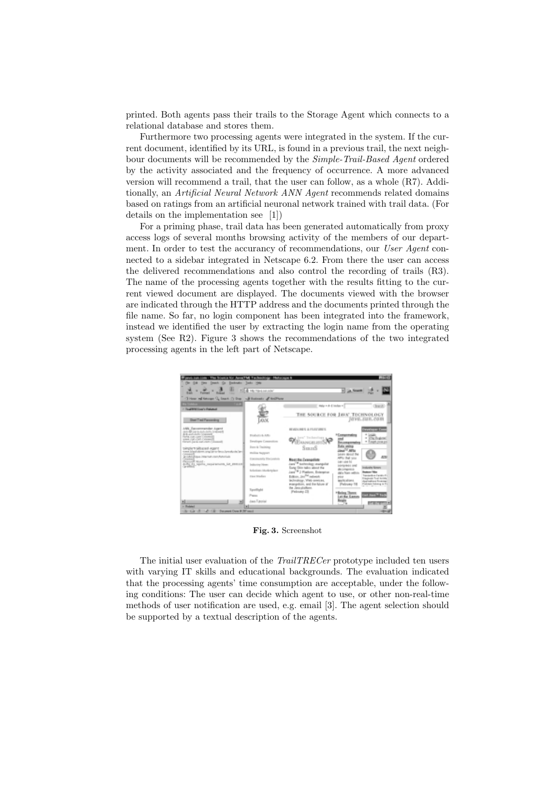printed. Both agents pass their trails to the Storage Agent which connects to a relational database and stores them.

Furthermore two processing agents were integrated in the system. If the current document, identified by its URL, is found in a previous trail, the next neighbour documents will be recommended by the *Simple-Trail-Based Agent* ordered by the activity associated and the frequency of occurrence. A more advanced version will recommend a trail, that the user can follow, as a whole (R7). Additionally, an *Artificial Neural Network ANN Agent* recommends related domains based on ratings from an artificial neuronal network trained with trail data. (For details on the implementation see [1])

For a priming phase, trail data has been generated automatically from proxy access logs of several months browsing activity of the members of our department. In order to test the accurancy of recommendations, our *User Agent* connected to a sidebar integrated in Netscape 6.2. From there the user can access the delivered recommendations and also control the recording of trails (R3). The name of the processing agents together with the results fitting to the current viewed document are displayed. The documents viewed with the browser are indicated through the HTTP address and the documents printed through the file name. So far, no login component has been integrated into the framework, instead we identified the user by extracting the login name from the operating system (See R2). Figure 3 shows the recommendations of the two integrated processing agents in the left part of Netscape.

| 10.44<br>ties lasch Ga Eschusko Todo Help                                                                                                                                                                                                                                                                                                                                                                                          | - The Scence for January Technology - Fedecape &                                                                                                                                                                                                         |                                                                                                                                                                                                                                                                                                                                                                                |                                                                                                                                                                                                                                                                                                                                  |                                                                                                                                                                                                                                                                                          |
|------------------------------------------------------------------------------------------------------------------------------------------------------------------------------------------------------------------------------------------------------------------------------------------------------------------------------------------------------------------------------------------------------------------------------------|----------------------------------------------------------------------------------------------------------------------------------------------------------------------------------------------------------------------------------------------------------|--------------------------------------------------------------------------------------------------------------------------------------------------------------------------------------------------------------------------------------------------------------------------------------------------------------------------------------------------------------------------------|----------------------------------------------------------------------------------------------------------------------------------------------------------------------------------------------------------------------------------------------------------------------------------------------------------------------------------|------------------------------------------------------------------------------------------------------------------------------------------------------------------------------------------------------------------------------------------------------------------------------------------|
| a                                                                                                                                                                                                                                                                                                                                                                                                                                  | <b>XIII &amp; McNane net now</b>                                                                                                                                                                                                                         |                                                                                                                                                                                                                                                                                                                                                                                | <b>Electric State</b>                                                                                                                                                                                                                                                                                                            |                                                                                                                                                                                                                                                                                          |
| (3 Here had between Q. Least (5 Gray 1x3) Restraints of the Planet<br><b>Call College</b><br>11 Tour Write Equal to Photograph<br><b>Dieri Tred Parsonskry</b>                                                                                                                                                                                                                                                                     | ANA                                                                                                                                                                                                                                                      | Help + A-Cimbo +<br>THE SOURCE FOR JAVA' TECHNOLOGY                                                                                                                                                                                                                                                                                                                            |                                                                                                                                                                                                                                                                                                                                  | (legal)<br>[GVD. JUD. CO.D]                                                                                                                                                                                                                                                              |
| AAN Executivemental Assets<br>date all yards auto bills branded<br>\$18.400-lock, trained<br>Figures come come in alternative<br>when chall chall it streamed<br>Fight of Law & cost client if standards<br>single trailscarl Agent<br>was ideal down and a worker/products law.<br>a cold of most important count furniture.<br><b>Homeworld</b><br>Parameter Month's<br>Anti-El-Mille, reparenzo, lot, postal<br>×t:<br>- Holder | <b>Productive A.M.</b><br><b>Dealiger Connection</b><br><b><i>Don't &amp; Techning</i></b><br><b>Philips Support</b><br>European Tiocombile<br>Industry Obser.<br>furlantism interdemplant<br><b>First Bluffers</b><br>Tavellinhi<br>Pass<br>Jan Tarrisi | REVIDE INE S. A FOAT VIRES.<br>lower." Two homelings at<br>FULL-NOC BUIL<br>SmuS<br><b>Northe Execution</b><br>Jary <sup>19</sup> Scribning: avangulat<br>Sung (Stin takes about the<br>Jaco <sup>18</sup> J. Flathern, Enterprise<br>Editor, Jac <sup>84</sup> indeeds<br>Inclusions, Visit contract.<br>researchers, and the Aduse of<br><b>De Jacksbeham</b><br>February 23 | <b><i><u><i><u>Compensating</u></i></u></i></b><br><b>Incomposed</b><br><b>Bake seins</b><br><b>Jack PLATER</b><br>Leave Metal The<br>APIs that you<br>Let use hi<br><b>Interpreto and</b><br>de composto<br>data from selling<br><b>POUR</b><br><b>Mark Allena</b><br><b>February 18</b><br><b>Holes Three</b><br>Let the Games | <b><i>Vertica are Care</i></b><br>$\sim$<br><b>The Business</b><br>$\mathbf{r}$<br>* Transport products<br><b>ATM</b><br>ratualra Komm<br><b>Index City</b><br>Transaction Canada Co<br>Deputy had been<br>Freinigen Steinung in Fic<br>and the first term<br>all Jose <sup>14</sup> Tor |
| <b>Car Kale (D)</b><br><b>CALL</b><br>Dancesot Own 9.30" mod<br><b>CONTRACTOR</b>                                                                                                                                                                                                                                                                                                                                                  |                                                                                                                                                                                                                                                          |                                                                                                                                                                                                                                                                                                                                                                                |                                                                                                                                                                                                                                                                                                                                  |                                                                                                                                                                                                                                                                                          |

**Fig. 3.** Screenshot

The initial user evaluation of the *TrailTRECer* prototype included ten users with varying IT skills and educational backgrounds. The evaluation indicated that the processing agents' time consumption are acceptable, under the following conditions: The user can decide which agent to use, or other non-real-time methods of user notification are used, e.g. email [3]. The agent selection should be supported by a textual description of the agents.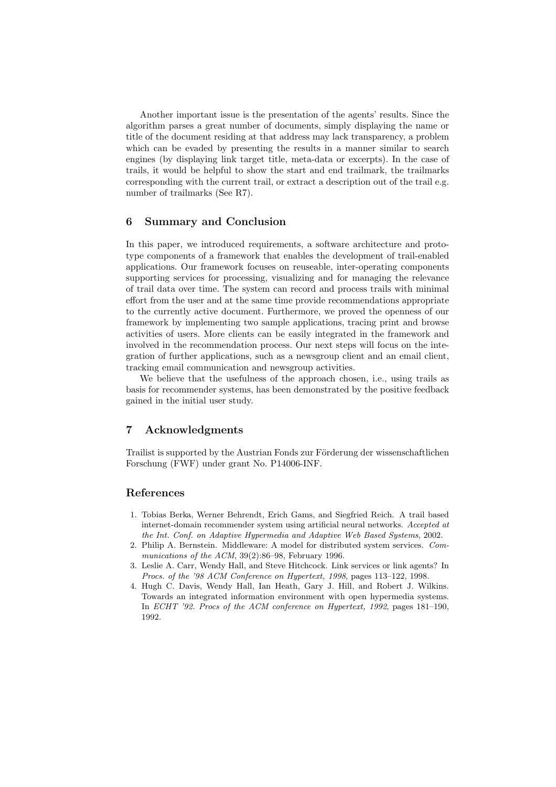Another important issue is the presentation of the agents' results. Since the algorithm parses a great number of documents, simply displaying the name or title of the document residing at that address may lack transparency, a problem which can be evaded by presenting the results in a manner similar to search engines (by displaying link target title, meta-data or excerpts). In the case of trails, it would be helpful to show the start and end trailmark, the trailmarks corresponding with the current trail, or extract a description out of the trail e.g. number of trailmarks (See R7).

#### **6 Summary and Conclusion**

In this paper, we introduced requirements, a software architecture and prototype components of a framework that enables the development of trail-enabled applications. Our framework focuses on reuseable, inter-operating components supporting services for processing, visualizing and for managing the relevance of trail data over time. The system can record and process trails with minimal effort from the user and at the same time provide recommendations appropriate to the currently active document. Furthermore, we proved the openness of our framework by implementing two sample applications, tracing print and browse activities of users. More clients can be easily integrated in the framework and involved in the recommendation process. Our next steps will focus on the integration of further applications, such as a newsgroup client and an email client, tracking email communication and newsgroup activities.

We believe that the usefulness of the approach chosen, i.e., using trails as basis for recommender systems, has been demonstrated by the positive feedback gained in the initial user study.

#### **7 Acknowledgments**

Trailist is supported by the Austrian Fonds zur Förderung der wissenschaftlichen Forschung (FWF) under grant No. P14006-INF.

#### **References**

- 1. Tobias Berka, Werner Behrendt, Erich Gams, and Siegfried Reich. A trail based internet-domain recommender system using artificial neural networks. *Accepted at the Int. Conf. on Adaptive Hypermedia and Adaptive Web Based Systems*, 2002.
- 2. Philip A. Bernstein. Middleware: A model for distributed system services. *Communications of the ACM*, 39(2):86–98, February 1996.
- 3. Leslie A. Carr, Wendy Hall, and Steve Hitchcock. Link services or link agents? In *Procs. of the '98 ACM Conference on Hypertext, 1998*, pages 113–122, 1998.
- 4. Hugh C. Davis, Wendy Hall, Ian Heath, Gary J. Hill, and Robert J. Wilkins. Towards an integrated information environment with open hypermedia systems. In *ECHT '92. Procs of the ACM conference on Hypertext, 1992*, pages 181–190, 1992.